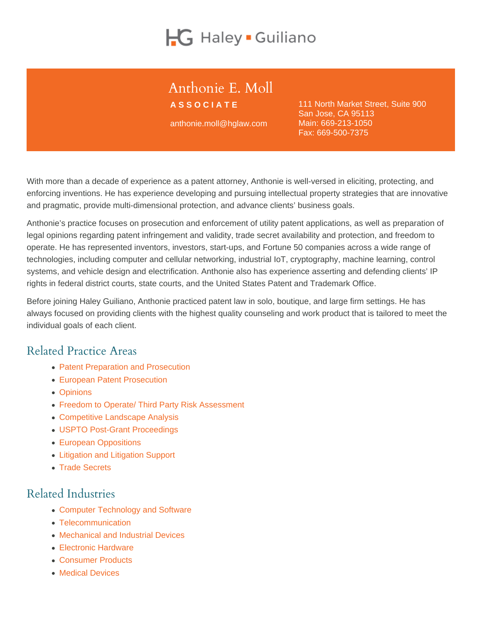# Anthonie E. Moll

ASSOCIATE

anthonie.moll@hglaw.com

111 North Market Street, Suite 900 San Jose, CA 95113 Main: [669-213-1050](tel:+1-669-213-1050) Fax: 669-500-7375

With more than a decade of experience as a patent attorney, Anthonie is well-versed in eliciting, protecting, and enforcing inventions. He has experience developing and pursuing intellectual property strategies that are innovative and pragmatic, provide multi-dimensional protection, and advance clients' business goals.

Anthonie's practice focuses on prosecution and enforcement of utility patent applications, as well as preparation of legal opinions regarding patent infringement and validity, trade secret availability and protection, and freedom to operate. He has represented inventors, investors, start-ups, and Fortune 50 companies across a wide range of technologies, including computer and cellular networking, industrial IoT, cryptography, machine learning, control systems, and vehicle design and electrification. Anthonie also has experience asserting and defending clients' IP rights in federal district courts, state courts, and the United States Patent and Trademark Office.

Before joining Haley Guiliano, Anthonie practiced patent law in solo, boutique, and large firm settings. He has always focused on providing clients with the highest quality counseling and work product that is tailored to meet the individual goals of each client.

## Related Practice Areas

- [Patent Preparation and Prosecution](https://www.hglaw.com/practice-areas/patents/patent-preparation-prosecution/)
- [European Patent Prosecution](https://www.hglaw.com/practice-areas/patents/european-patent-prosecution/)
- [Opinions](https://www.hglaw.com/practice-areas/strategic-counseling/opinions/)
- [Freedom to Operate/ Third Party Risk Assessment](https://www.hglaw.com/practice-areas/strategic-counseling/freedom-to-operate-third-party-risk-assessment/)
- [Competitive Landscape Analysis](https://www.hglaw.com/practice-areas/strategic-counseling/competitive-landscape-analysis/)
- [USPTO Post-Grant Proceedings](https://www.hglaw.com/practice-areas/contested-proceedings/uspto-post-grant-proceedings/)
- [European Oppositions](https://www.hglaw.com/practice-areas/contested-proceedings/european-oppositions/)
- [Litigation and Litigation Support](https://www.hglaw.com/practice-areas/contested-proceedings/litigation-support/)
- [Trade Secrets](https://www.hglaw.com/practice-areas/trade-secrets/)

## Related Industries

- [Computer Technology and Software](https://www.hglaw.com/industries/computer-technology-software/)
- [Telecommunication](https://www.hglaw.com/industries/telecommunications/)
- [Mechanical and Industrial Devices](https://www.hglaw.com/industries/mechanical-industrial-devices/)
- [Electronic Hardware](https://www.hglaw.com/industries/electronic-hardware/)
- [Consumer Products](https://www.hglaw.com/industries/consumer-products/)
- [Medical Devices](https://www.hglaw.com/industries/medical-devices/)